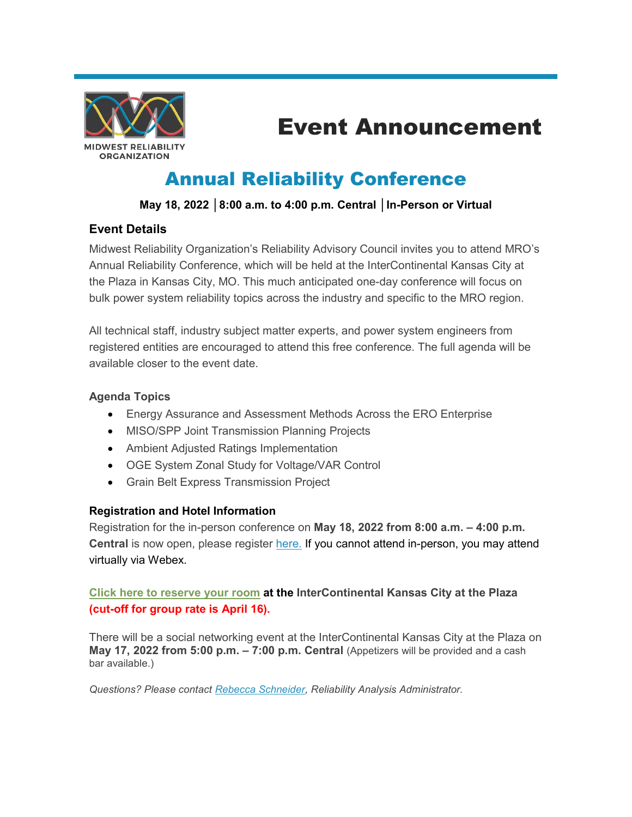

# Event Announcement

# Annual Reliability Conference

# **May 18, 2022 │8:00 a.m. to 4:00 p.m. Central │In-Person or Virtual**

## **Event Details**

Midwest Reliability Organization's Reliability Advisory Council invites you to attend MRO's Annual Reliability Conference, which will be held at the InterContinental Kansas City at the Plaza in Kansas City, MO. This much anticipated one-day conference will focus on bulk power system reliability topics across the industry and specific to the MRO region.

All technical staff, industry subject matter experts, and power system engineers from registered entities are encouraged to attend this free conference. The full agenda will be available closer to the event date.

#### **Agenda Topics**

- Energy Assurance and Assessment Methods Across the ERO Enterprise
- MISO/SPP Joint Transmission Planning Projects
- Ambient Adjusted Ratings Implementation
- OGE System Zonal Study for Voltage/VAR Control
- Grain Belt Express Transmission Project

### **Registration and Hotel Information**

Registration for the in-person conference on **May 18, 2022 from 8:00 a.m. – 4:00 p.m. Central** is now open, please register [here.](https://midwestreliability.webex.com/midwestreliability/onstage/g.php?MTID=ea482ccb0b7d1c991671ec56cb133a2cd) If you cannot attend in-person, you may attend virtually via Webex.

### **[Click here to reserve your room](https://url2.mailanyone.net/v1/?m=1nTsWJ-0007kq-4y&i=57e1b682&c=lls-6ahnqXR0-Pmm00DaliNRb7qmkol8uxc_qfWsGs8mejJHG9P_gEFe_bhjx2mupEzTzgKEAG71SegKk9J-nSd2Fk9tDTxnCdzWY5ROh9EbLzlRwjm4gMLVYaGXh-qNh1fLXJ05eYMzomRjhRtlzVBtQ9LCzJhGeWAEGK5IF-9YS_Gm8X0Z45QVpd5bgH320dzlJ-CEDyEBcKPLhpmOU9exGaWel2RptgR605b3jwd3xJNbtksMjXFdBBmQ0rnzon3Gy3vSp-P5Y4xZ2rTo_3QdoR9YhZEzUsVe6hp-oEn-jBbdNLUP49sU2LpoBwGmNrVKwm6dPqdTxeMjd88CRNTWqxyye4d2aTRGr184CGzlZp5qd2T8TEE5f1yaQOZX) at the InterContinental Kansas City at the Plaza (cut-off for group rate is April 16).**

There will be a social networking event at the InterContinental Kansas City at the Plaza on **May 17, 2022 from 5:00 p.m. – 7:00 p.m. Central (Appetizers will be provided and a cash** bar available.)

*Questions? Please contact [Rebecca Schneider,](mailto:rebecca.schneider@mro.net) Reliability Analysis Administrator.*